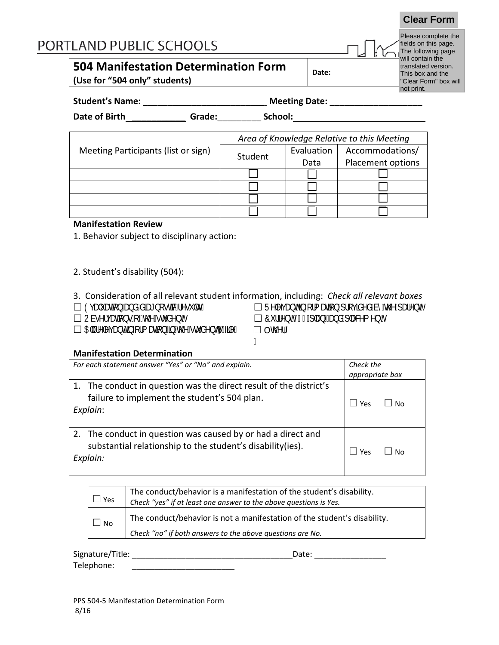# PORTLAND PUBLIC SCHOOLS

# **504 Manifestation Determination Form**

**(Use for "504 only" students)**

| Date: |
|-------|
|-------|

Please complete the fields on this page. The following page will contain the translated version. This box and the "Clear Form" box will not print.

**Clear Form**

| <b>Student's Name:</b> | <b>Meeting Date:</b> |  |
|------------------------|----------------------|--|
|                        |                      |  |

**Date of Birth** \_\_\_\_\_\_\_\_\_\_\_ **Grade:**\_\_\_\_\_\_\_\_\_ **School:** 

|                                     | Area of Knowledge Relative to this Meeting |            |                   |
|-------------------------------------|--------------------------------------------|------------|-------------------|
| Meeting Participants (list or sign) | Student                                    | Evaluation | Accommodations/   |
|                                     |                                            | Data       | Placement options |
|                                     |                                            |            |                   |
|                                     |                                            |            |                   |
|                                     |                                            |            |                   |
|                                     |                                            |            |                   |

#### **Manifestation Review**

1. Behavior subject to disciplinary action:

2. Student's disability (504):

3. Consideration of all relevant student information, including: *Check all relevant boxes* □ 9j Ui Ujcb UbX XJU bcgj]WfYgi `tg`<br>□ CVgYfj Ujcbg cZh\Y ghi XYbh  $\Box$  7i ff Ybh)  $\Im$  dUb UbX dUWa Ybh  $\Box$  5" fy'Yj Uohjozfa Updb jo h Y' ghi XYbhg  $\vec{q}$ Y'  $\Box$  Oh Yf.

ľ

#### **Manifestation Determination**

| For each statement answer "Yes" or "No" and explain.                                                                                    | Check the<br>appropriate box |
|-----------------------------------------------------------------------------------------------------------------------------------------|------------------------------|
| 1. The conduct in question was the direct result of the district's<br>failure to implement the student's 504 plan.<br>Explain:          | Yes<br>l No                  |
| 2. The conduct in question was caused by or had a direct and<br>substantial relationship to the student's disability (ies).<br>Explain: | Yes<br>No                    |

| Yes       | The conduct/behavior is a manifestation of the student's disability.<br>Check "yes" if at least one answer to the above questions is Yes. |
|-----------|-------------------------------------------------------------------------------------------------------------------------------------------|
| $\Box$ No | The conduct/behavior is not a manifestation of the student's disability.                                                                  |
|           | Check "no" if both answers to the above questions are No.                                                                                 |

| Signature/Title: | Date: |
|------------------|-------|
| Telephone:       |       |